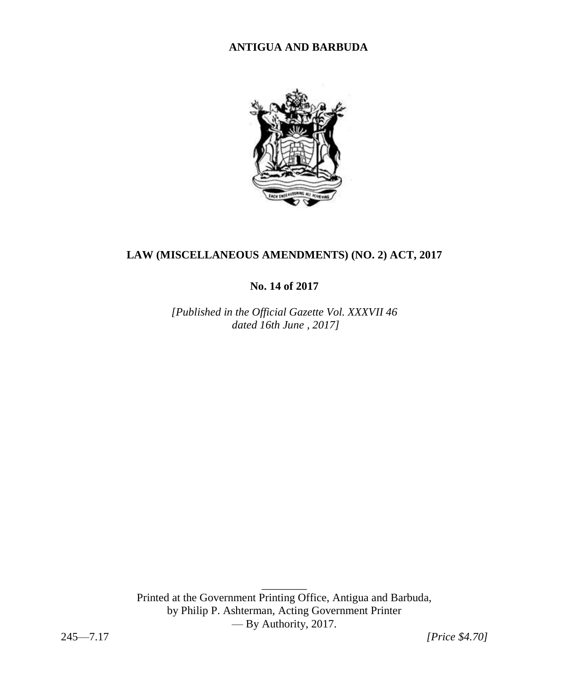# **ANTIGUA AND BARBUDA**



# **LAW (MISCELLANEOUS AMENDMENTS) (NO. 2) ACT, 2017**

**No. 14 of 2017**

*[Published in the Official Gazette Vol. XXXVII 46 dated 16th June , 2017]* 

Printed at the Government Printing Office, Antigua and Barbuda, by Philip P. Ashterman, Acting Government Printer — By Authority, 2017.

 $\overline{\phantom{a}}$ 

245—7.17 *[Price \$4.70]*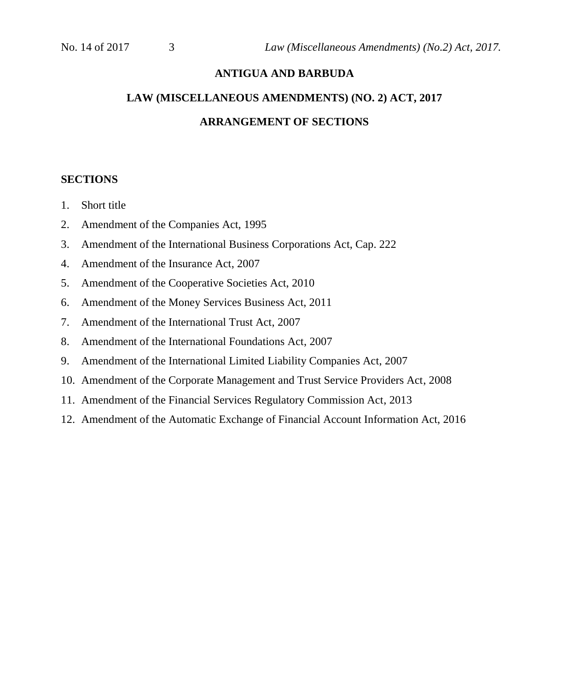## **ANTIGUA AND BARBUDA**

# **LAW (MISCELLANEOUS AMENDMENTS) (NO. 2) ACT, 2017 ARRANGEMENT OF SECTIONS**

#### **SECTIONS**

- 1. Short title
- 2. Amendment of the Companies Act, 1995
- 3. Amendment of the International Business Corporations Act, Cap. 222
- 4. Amendment of the Insurance Act, 2007
- 5. Amendment of the Cooperative Societies Act, 2010
- 6. Amendment of the Money Services Business Act, 2011
- 7. Amendment of the International Trust Act, 2007
- 8. Amendment of the International Foundations Act, 2007
- 9. Amendment of the International Limited Liability Companies Act, 2007
- 10. Amendment of the Corporate Management and Trust Service Providers Act, 2008
- 11. Amendment of the Financial Services Regulatory Commission Act, 2013
- 12. Amendment of the Automatic Exchange of Financial Account Information Act, 2016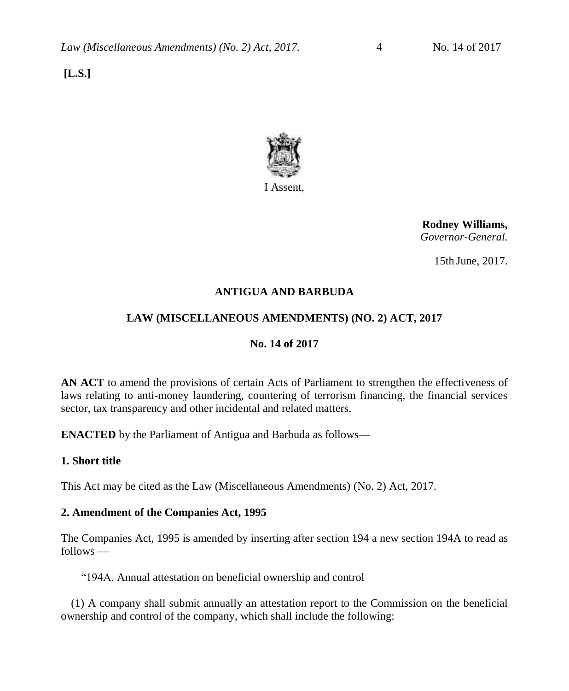**[L.S.]**



I Assent,

 **Rodney Williams,** *Governor-General.*

15th June, 2017.

## **ANTIGUA AND BARBUDA**

## **LAW (MISCELLANEOUS AMENDMENTS) (NO. 2) ACT, 2017**

# **No. 14 of 2017**

**AN ACT** to amend the provisions of certain Acts of Parliament to strengthen the effectiveness of laws relating to anti-money laundering, countering of terrorism financing, the financial services sector, tax transparency and other incidental and related matters.

**ENACTED** by the Parliament of Antigua and Barbuda as follows—

## **1. Short title**

This Act may be cited as the Law (Miscellaneous Amendments) (No. 2) Act, 2017.

#### **2. Amendment of the Companies Act, 1995**

The Companies Act, 1995 is amended by inserting after section 194 a new section 194A to read as follows —

"194A. Annual attestation on beneficial ownership and control

(1) A company shall submit annually an attestation report to the Commission on the beneficial ownership and control of the company, which shall include the following: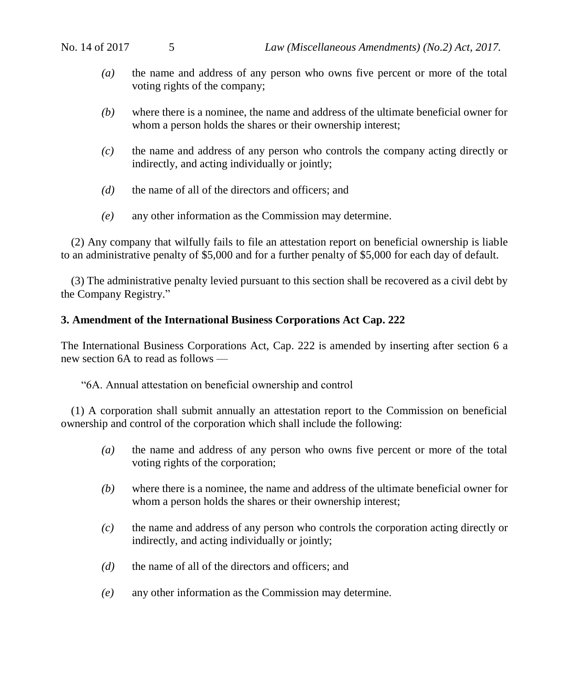- *(a)* the name and address of any person who owns five percent or more of the total voting rights of the company;
- *(b)* where there is a nominee, the name and address of the ultimate beneficial owner for whom a person holds the shares or their ownership interest;
- *(c)* the name and address of any person who controls the company acting directly or indirectly, and acting individually or jointly;
- *(d)* the name of all of the directors and officers; and
- *(e)* any other information as the Commission may determine.

(2) Any company that wilfully fails to file an attestation report on beneficial ownership is liable to an administrative penalty of \$5,000 and for a further penalty of \$5,000 for each day of default.

(3) The administrative penalty levied pursuant to this section shall be recovered as a civil debt by the Company Registry."

#### **3. Amendment of the International Business Corporations Act Cap. 222**

The International Business Corporations Act, Cap. 222 is amended by inserting after section 6 a new section 6A to read as follows —

"6A. Annual attestation on beneficial ownership and control

(1) A corporation shall submit annually an attestation report to the Commission on beneficial ownership and control of the corporation which shall include the following:

- *(a)* the name and address of any person who owns five percent or more of the total voting rights of the corporation;
- *(b)* where there is a nominee, the name and address of the ultimate beneficial owner for whom a person holds the shares or their ownership interest;
- *(c)* the name and address of any person who controls the corporation acting directly or indirectly, and acting individually or jointly;
- *(d)* the name of all of the directors and officers; and
- *(e)* any other information as the Commission may determine.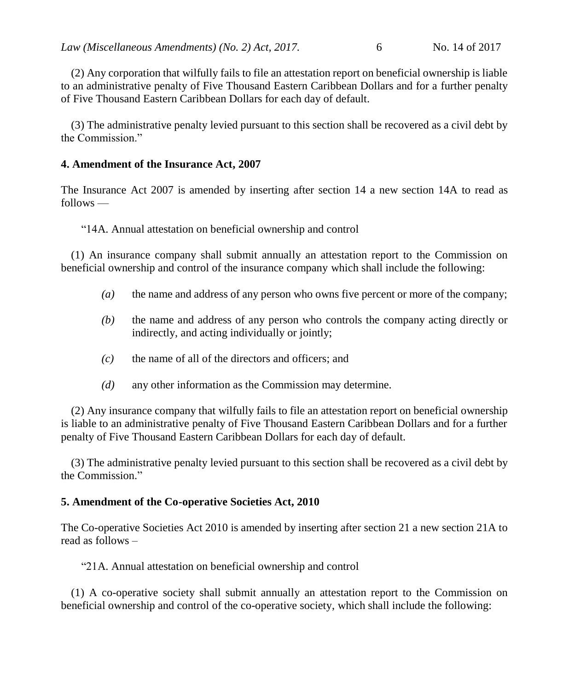(2) Any corporation that wilfully fails to file an attestation report on beneficial ownership is liable to an administrative penalty of Five Thousand Eastern Caribbean Dollars and for a further penalty of Five Thousand Eastern Caribbean Dollars for each day of default.

(3) The administrative penalty levied pursuant to this section shall be recovered as a civil debt by the Commission."

### **4. Amendment of the Insurance Act, 2007**

The Insurance Act 2007 is amended by inserting after section 14 a new section 14A to read as follows —

"14A. Annual attestation on beneficial ownership and control

(1) An insurance company shall submit annually an attestation report to the Commission on beneficial ownership and control of the insurance company which shall include the following:

- *(a)* the name and address of any person who owns five percent or more of the company;
- *(b)* the name and address of any person who controls the company acting directly or indirectly, and acting individually or jointly;
- *(c)* the name of all of the directors and officers; and
- *(d)* any other information as the Commission may determine.

(2) Any insurance company that wilfully fails to file an attestation report on beneficial ownership is liable to an administrative penalty of Five Thousand Eastern Caribbean Dollars and for a further penalty of Five Thousand Eastern Caribbean Dollars for each day of default.

(3) The administrative penalty levied pursuant to this section shall be recovered as a civil debt by the Commission."

## **5. Amendment of the Co-operative Societies Act, 2010**

The Co-operative Societies Act 2010 is amended by inserting after section 21 a new section 21A to read as follows –

"21A. Annual attestation on beneficial ownership and control

(1) A co-operative society shall submit annually an attestation report to the Commission on beneficial ownership and control of the co-operative society, which shall include the following: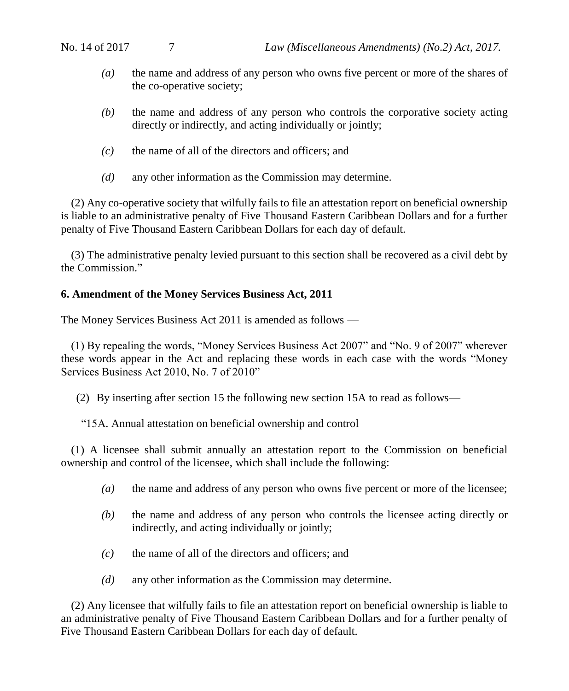- *(a)* the name and address of any person who owns five percent or more of the shares of the co-operative society;
- *(b)* the name and address of any person who controls the corporative society acting directly or indirectly, and acting individually or jointly;
- *(c)* the name of all of the directors and officers; and
- *(d)* any other information as the Commission may determine.

(2) Any co-operative society that wilfully fails to file an attestation report on beneficial ownership is liable to an administrative penalty of Five Thousand Eastern Caribbean Dollars and for a further penalty of Five Thousand Eastern Caribbean Dollars for each day of default.

(3) The administrative penalty levied pursuant to this section shall be recovered as a civil debt by the Commission."

#### **6. Amendment of the Money Services Business Act, 2011**

The Money Services Business Act 2011 is amended as follows —

(1) By repealing the words, "Money Services Business Act 2007" and "No. 9 of 2007" wherever these words appear in the Act and replacing these words in each case with the words "Money Services Business Act 2010, No. 7 of 2010"

(2) By inserting after section 15 the following new section 15A to read as follows—

"15A. Annual attestation on beneficial ownership and control

(1) A licensee shall submit annually an attestation report to the Commission on beneficial ownership and control of the licensee, which shall include the following:

- *(a)* the name and address of any person who owns five percent or more of the licensee;
- *(b)* the name and address of any person who controls the licensee acting directly or indirectly, and acting individually or jointly;
- *(c)* the name of all of the directors and officers; and
- *(d)* any other information as the Commission may determine.

(2) Any licensee that wilfully fails to file an attestation report on beneficial ownership is liable to an administrative penalty of Five Thousand Eastern Caribbean Dollars and for a further penalty of Five Thousand Eastern Caribbean Dollars for each day of default.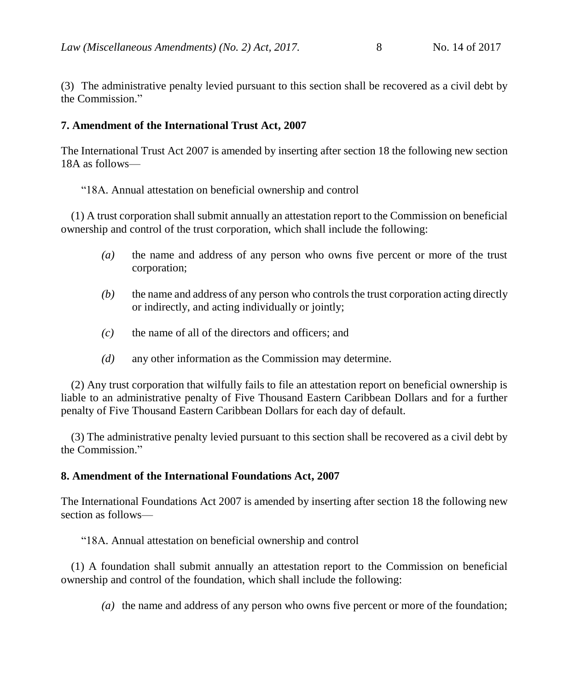(3) The administrative penalty levied pursuant to this section shall be recovered as a civil debt by the Commission."

#### **7. Amendment of the International Trust Act, 2007**

The International Trust Act 2007 is amended by inserting after section 18 the following new section 18A as follows—

"18A. Annual attestation on beneficial ownership and control

(1) A trust corporation shall submit annually an attestation report to the Commission on beneficial ownership and control of the trust corporation, which shall include the following:

- *(a)* the name and address of any person who owns five percent or more of the trust corporation;
- *(b)* the name and address of any person who controlsthe trust corporation acting directly or indirectly, and acting individually or jointly;
- *(c)* the name of all of the directors and officers; and
- *(d)* any other information as the Commission may determine.

(2) Any trust corporation that wilfully fails to file an attestation report on beneficial ownership is liable to an administrative penalty of Five Thousand Eastern Caribbean Dollars and for a further penalty of Five Thousand Eastern Caribbean Dollars for each day of default.

(3) The administrative penalty levied pursuant to this section shall be recovered as a civil debt by the Commission."

## **8. Amendment of the International Foundations Act, 2007**

The International Foundations Act 2007 is amended by inserting after section 18 the following new section as follows—

"18A. Annual attestation on beneficial ownership and control

(1) A foundation shall submit annually an attestation report to the Commission on beneficial ownership and control of the foundation, which shall include the following:

*(a)* the name and address of any person who owns five percent or more of the foundation;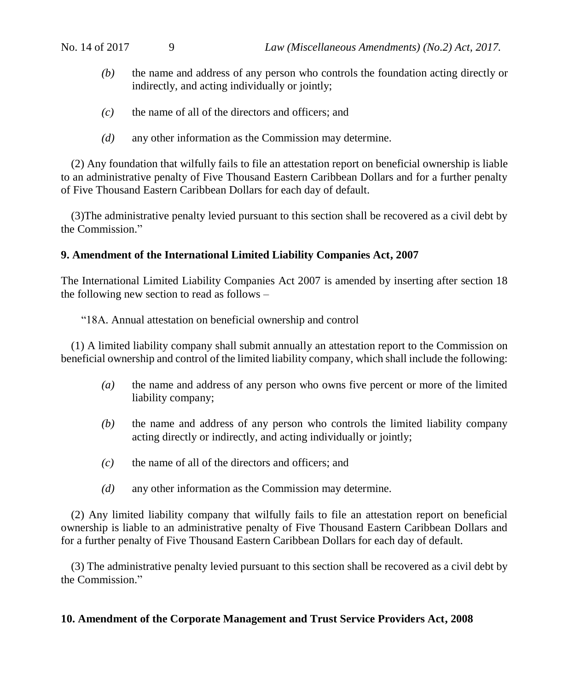- *(b)* the name and address of any person who controls the foundation acting directly or indirectly, and acting individually or jointly;
- *(c)* the name of all of the directors and officers; and
- *(d)* any other information as the Commission may determine.

(2) Any foundation that wilfully fails to file an attestation report on beneficial ownership is liable to an administrative penalty of Five Thousand Eastern Caribbean Dollars and for a further penalty of Five Thousand Eastern Caribbean Dollars for each day of default.

(3)The administrative penalty levied pursuant to this section shall be recovered as a civil debt by the Commission."

## **9. Amendment of the International Limited Liability Companies Act, 2007**

The International Limited Liability Companies Act 2007 is amended by inserting after section 18 the following new section to read as follows –

"18A. Annual attestation on beneficial ownership and control

(1) A limited liability company shall submit annually an attestation report to the Commission on beneficial ownership and control of the limited liability company, which shall include the following:

- *(a)* the name and address of any person who owns five percent or more of the limited liability company;
- *(b)* the name and address of any person who controls the limited liability company acting directly or indirectly, and acting individually or jointly;
- *(c)* the name of all of the directors and officers; and
- *(d)* any other information as the Commission may determine.

(2) Any limited liability company that wilfully fails to file an attestation report on beneficial ownership is liable to an administrative penalty of Five Thousand Eastern Caribbean Dollars and for a further penalty of Five Thousand Eastern Caribbean Dollars for each day of default.

(3) The administrative penalty levied pursuant to this section shall be recovered as a civil debt by the Commission."

#### **10. Amendment of the Corporate Management and Trust Service Providers Act, 2008**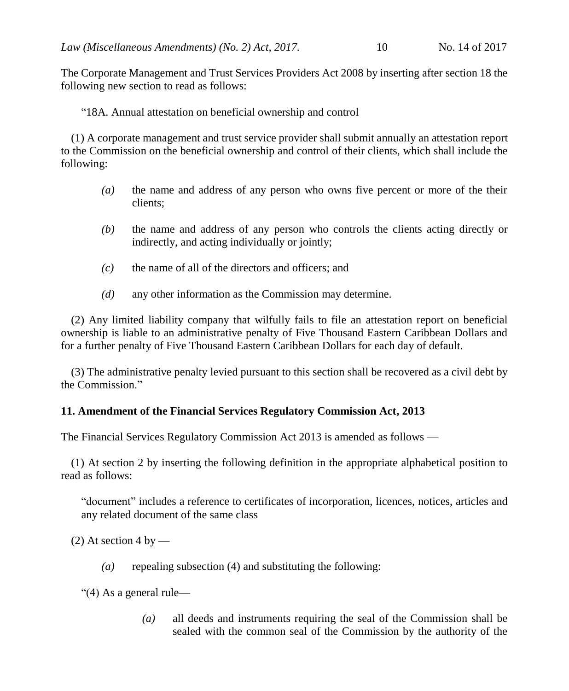The Corporate Management and Trust Services Providers Act 2008 by inserting after section 18 the following new section to read as follows:

"18A. Annual attestation on beneficial ownership and control

(1) A corporate management and trust service provider shall submit annually an attestation report to the Commission on the beneficial ownership and control of their clients, which shall include the following:

- *(a)* the name and address of any person who owns five percent or more of the their clients;
- *(b)* the name and address of any person who controls the clients acting directly or indirectly, and acting individually or jointly;
- *(c)* the name of all of the directors and officers; and
- *(d)* any other information as the Commission may determine.

(2) Any limited liability company that wilfully fails to file an attestation report on beneficial ownership is liable to an administrative penalty of Five Thousand Eastern Caribbean Dollars and for a further penalty of Five Thousand Eastern Caribbean Dollars for each day of default.

(3) The administrative penalty levied pursuant to this section shall be recovered as a civil debt by the Commission."

## **11. Amendment of the Financial Services Regulatory Commission Act, 2013**

The Financial Services Regulatory Commission Act 2013 is amended as follows —

(1) At section 2 by inserting the following definition in the appropriate alphabetical position to read as follows:

"document" includes a reference to certificates of incorporation, licences, notices, articles and any related document of the same class

 $(2)$  At section 4 by —

*(a)* repealing subsection (4) and substituting the following:

"(4) As a general rule—

*(a)* all deeds and instruments requiring the seal of the Commission shall be sealed with the common seal of the Commission by the authority of the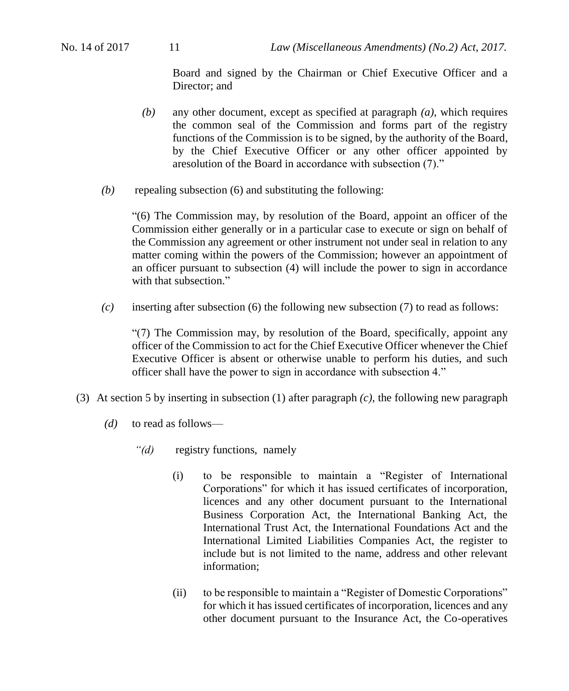Board and signed by the Chairman or Chief Executive Officer and a Director; and

- *(b)* any other document, except as specified at paragraph *(a)*, which requires the common seal of the Commission and forms part of the registry functions of the Commission is to be signed, by the authority of the Board, by the Chief Executive Officer or any other officer appointed by aresolution of the Board in accordance with subsection (7)."
- *(b)* repealing subsection (6) and substituting the following:

"(6) The Commission may, by resolution of the Board, appoint an officer of the Commission either generally or in a particular case to execute or sign on behalf of the Commission any agreement or other instrument not under seal in relation to any matter coming within the powers of the Commission; however an appointment of an officer pursuant to subsection (4) will include the power to sign in accordance with that subsection."

*(c)* inserting after subsection (6) the following new subsection (7) to read as follows:

"(7) The Commission may, by resolution of the Board, specifically, appoint any officer of the Commission to act for the Chief Executive Officer whenever the Chief Executive Officer is absent or otherwise unable to perform his duties, and such officer shall have the power to sign in accordance with subsection 4."

- (3) At section 5 by inserting in subsection (1) after paragraph *(c)*, the following new paragraph
	- *(d)* to read as follows—
		- *"(d)* registry functions, namely
			- (i) to be responsible to maintain a "Register of International Corporations" for which it has issued certificates of incorporation, licences and any other document pursuant to the International Business Corporation Act, the International Banking Act, the International Trust Act, the International Foundations Act and the International Limited Liabilities Companies Act, the register to include but is not limited to the name, address and other relevant information;
			- (ii) to be responsible to maintain a "Register of Domestic Corporations" for which it has issued certificates of incorporation, licences and any other document pursuant to the Insurance Act, the Co-operatives